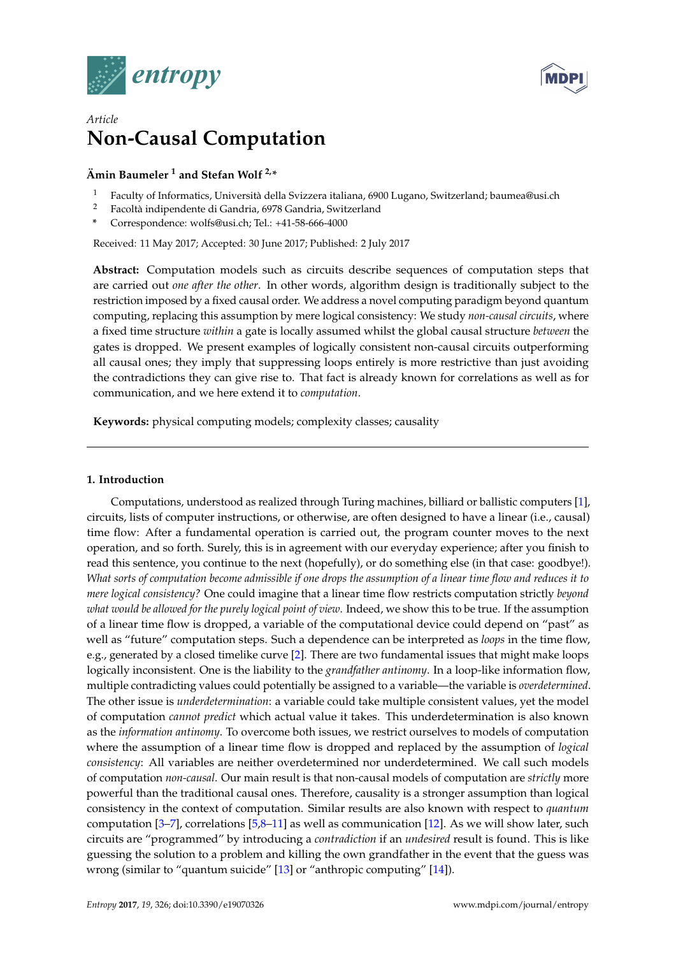



# *Article* **Non-Causal Computation**

# **Ämin Baumeler <sup>1</sup> and Stefan Wolf 2,\***

- <sup>1</sup> Faculty of Informatics, Università della Svizzera italiana, 6900 Lugano, Switzerland; baumea@usi.ch
- <sup>2</sup> Facoltà indipendente di Gandria, 6978 Gandria, Switzerland
- **\*** Correspondence: wolfs@usi.ch; Tel.: +41-58-666-4000

Received: 11 May 2017; Accepted: 30 June 2017; Published: 2 July 2017

**Abstract:** Computation models such as circuits describe sequences of computation steps that are carried out *one after the other*. In other words, algorithm design is traditionally subject to the restriction imposed by a fixed causal order. We address a novel computing paradigm beyond quantum computing, replacing this assumption by mere logical consistency: We study *non-causal circuits*, where a fixed time structure *within* a gate is locally assumed whilst the global causal structure *between* the gates is dropped. We present examples of logically consistent non-causal circuits outperforming all causal ones; they imply that suppressing loops entirely is more restrictive than just avoiding the contradictions they can give rise to. That fact is already known for correlations as well as for communication, and we here extend it to *computation*.

**Keywords:** physical computing models; complexity classes; causality

### **1. Introduction**

Computations, understood as realized through Turing machines, billiard or ballistic computers [\[1\]](#page-7-0), circuits, lists of computer instructions, or otherwise, are often designed to have a linear (i.e., causal) time flow: After a fundamental operation is carried out, the program counter moves to the next operation, and so forth. Surely, this is in agreement with our everyday experience; after you finish to read this sentence, you continue to the next (hopefully), or do something else (in that case: goodbye!). *What sorts of computation become admissible if one drops the assumption of a linear time flow and reduces it to mere logical consistency?* One could imagine that a linear time flow restricts computation strictly *beyond what would be allowed for the purely logical point of view*. Indeed, we show this to be true. If the assumption of a linear time flow is dropped, a variable of the computational device could depend on "past" as well as "future" computation steps. Such a dependence can be interpreted as *loops* in the time flow, e.g., generated by a closed timelike curve [\[2\]](#page-7-1). There are two fundamental issues that might make loops logically inconsistent. One is the liability to the *grandfather antinomy*. In a loop-like information flow, multiple contradicting values could potentially be assigned to a variable—the variable is *overdetermined*. The other issue is *underdetermination*: a variable could take multiple consistent values, yet the model of computation *cannot predict* which actual value it takes. This underdetermination is also known as the *information antinomy*. To overcome both issues, we restrict ourselves to models of computation where the assumption of a linear time flow is dropped and replaced by the assumption of *logical consistency*: All variables are neither overdetermined nor underdetermined. We call such models of computation *non-causal*. Our main result is that non-causal models of computation are *strictly* more powerful than the traditional causal ones. Therefore, causality is a stronger assumption than logical consistency in the context of computation. Similar results are also known with respect to *quantum* computation [\[3–](#page-8-0)[7\]](#page-8-1), correlations [\[5,](#page-8-2)[8–](#page-8-3)[11\]](#page-8-4) as well as communication [\[12\]](#page-8-5). As we will show later, such circuits are "programmed" by introducing a *contradiction* if an *undesired* result is found. This is like guessing the solution to a problem and killing the own grandfather in the event that the guess was wrong (similar to "quantum suicide" [\[13\]](#page-8-6) or "anthropic computing" [\[14\]](#page-8-7)).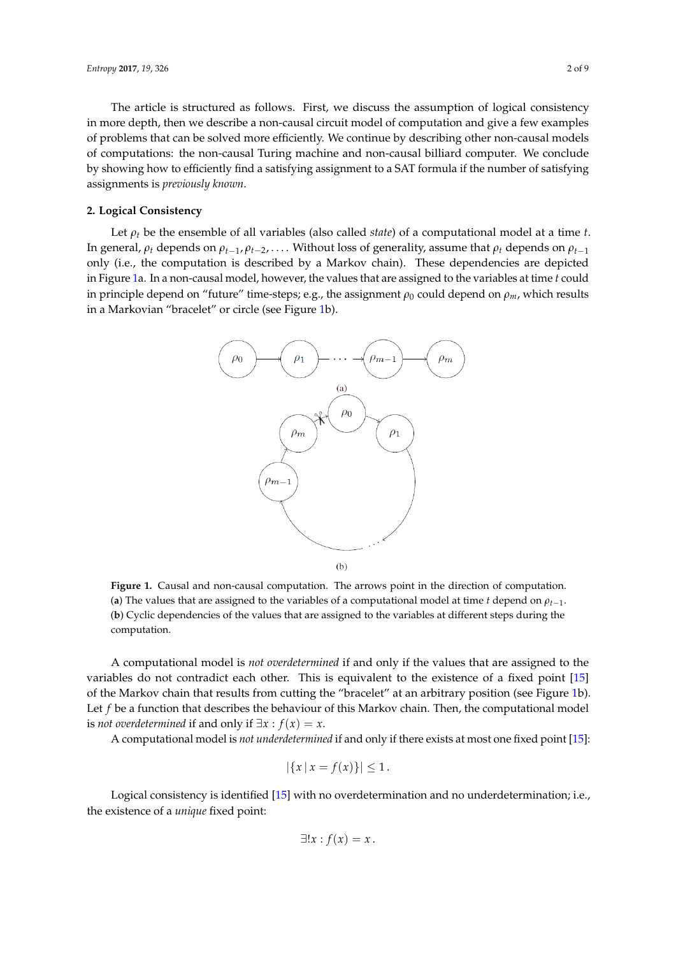The article is structured as follows. First, we discuss the assumption of logical consistency in more depth, then we describe a non-causal circuit model of computation and give a few examples of problems that can be solved more efficiently. We continue by describing other non-causal models of computations: the non-causal Turing machine and non-causal billiard computer. We conclude by showing how to efficiently find a satisfying assignment to a SAT formula if the number of satisfying assignments is *previously known*.

#### **2. Logical Consistency**

<span id="page-1-0"></span>Let *ρ<sup>t</sup>* be the ensemble of all variables (also called *state*) of a computational model at a time *t*. In general,  $\rho_t$  depends on  $\rho_{t-1}$ ,  $\rho_{t-2}$ , ... Without loss of generality, assume that  $\rho_t$  depends on  $\rho_{t-1}$ only (i.e., the computation is described by a Markov chain). These dependencies are depicted in Figure [1a](#page-1-0). In a non-causal model, however, the values that are assigned to the variables at time *t* could in principle depend on "future" time-steps; e.g., the assignment  $\rho_0$  could depend on  $\rho_m$ , which results in a Markovian "bracelet" or circle (see Figure [1b](#page-1-0)).



**Figure 1.** Causal and non-causal computation. The arrows point in the direction of computation. (**a**) The values that are assigned to the variables of a computational model at time *t* depend on  $\rho_{t-1}$ . (**b**) Cyclic dependencies of the values that are assigned to the variables at different steps during the computation.

A computational model is *not overdetermined* if and only if the values that are assigned to the variables do not contradict each other. This is equivalent to the existence of a fixed point [\[15\]](#page-8-8) of the Markov chain that results from cutting the "bracelet" at an arbitrary position (see Figure [1b](#page-1-0)). Let *f* be a function that describes the behaviour of this Markov chain. Then, the computational model *is not overdetermined* if and only if  $\exists x : f(x) = x$ .

A computational model is *not underdetermined* if and only if there exists at most one fixed point [\[15\]](#page-8-8):

$$
|\{x \mid x = f(x)\}| \le 1.
$$

Logical consistency is identified [\[15\]](#page-8-8) with no overdetermination and no underdetermination; i.e., the existence of a *unique* fixed point:

$$
\exists!x:f(x)=x.
$$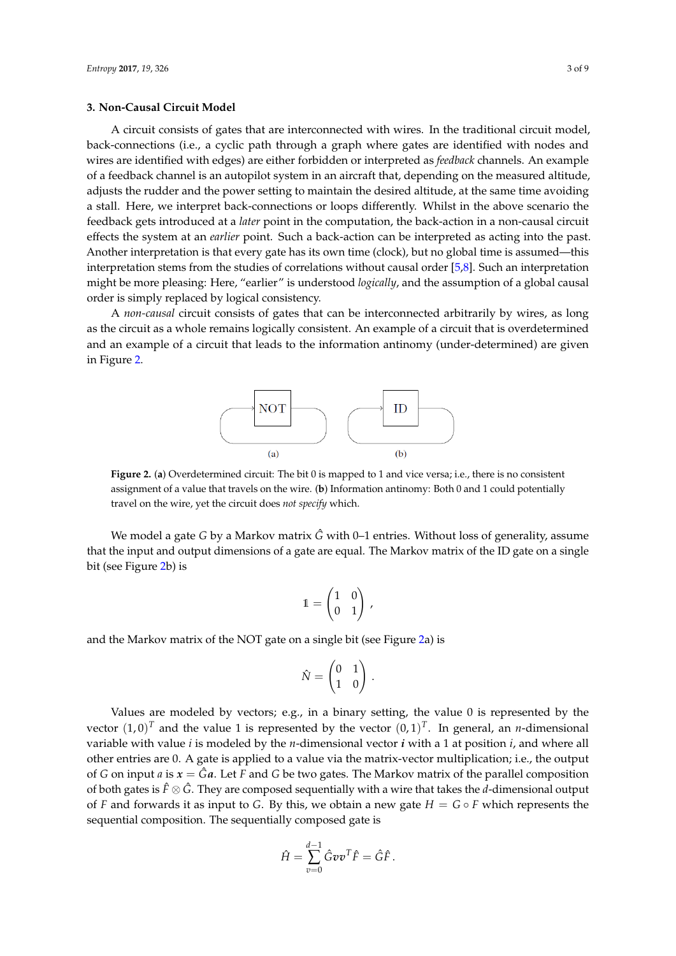#### **3. Non-Causal Circuit Model**

A circuit consists of gates that are interconnected with wires. In the traditional circuit model, back-connections (i.e., a cyclic path through a graph where gates are identified with nodes and wires are identified with edges) are either forbidden or interpreted as *feedback* channels. An example of a feedback channel is an autopilot system in an aircraft that, depending on the measured altitude, adjusts the rudder and the power setting to maintain the desired altitude, at the same time avoiding a stall. Here, we interpret back-connections or loops differently. Whilst in the above scenario the feedback gets introduced at a *later* point in the computation, the back-action in a non-causal circuit effects the system at an *earlier* point. Such a back-action can be interpreted as acting into the past. Another interpretation is that every gate has its own time (clock), but no global time is assumed—this interpretation stems from the studies of correlations without causal order [\[5,](#page-8-2)[8\]](#page-8-3). Such an interpretation might be more pleasing: Here, "earlier" is understood *logically*, and the assumption of a global causal order is simply replaced by logical consistency.

<span id="page-2-0"></span>A *non-causal* circuit consists of gates that can be interconnected arbitrarily by wires, as long as the circuit as a whole remains logically consistent. An example of a circuit that is overdetermined and an example of a circuit that leads to the information antinomy (under-determined) are given in Figure [2.](#page-2-0)



**Figure 2.** (**a**) Overdetermined circuit: The bit 0 is mapped to 1 and vice versa; i.e., there is no consistent assignment of a value that travels on the wire. (**b**) Information antinomy: Both 0 and 1 could potentially travel on the wire, yet the circuit does *not specify* which.

We model a gate *G* by a Markov matrix *G* with 0–1 entries. Without loss of generality, assume that the input and output dimensions of a gate are equal. The Markov matrix of the ID gate on a single bit (see Figure [2b](#page-2-0)) is

$$
1 = \begin{pmatrix} 1 & 0 \\ 0 & 1 \end{pmatrix},
$$

and the Markov matrix of the NOT gate on a single bit (see Figure [2a](#page-2-0)) is

$$
\hat{N} = \begin{pmatrix} 0 & 1 \\ 1 & 0 \end{pmatrix} \, .
$$

Values are modeled by vectors; e.g., in a binary setting, the value  $0$  is represented by the vector  $(1,0)^T$  and the value 1 is represented by the vector  $(0,1)^T$ . In general, an *n*-dimensional variable with value *i* is modeled by the *n*-dimensional vector *i* with a 1 at position *i*, and where all other entries are 0. A gate is applied to a value via the matrix-vector multiplication; i.e., the output of *G* on input *a* is  $x = \hat{G}a$ . Let *F* and *G* be two gates. The Markov matrix of the parallel composition of both gates is *F*ˆ ⊗ *G*ˆ. They are composed sequentially with a wire that takes the *d*-dimensional output of *F* and forwards it as input to *G*. By this, we obtain a new gate  $H = G \circ F$  which represents the sequential composition. The sequentially composed gate is

$$
\hat{H} = \sum_{v=0}^{d-1} \hat{G} v v^T \hat{F} = \hat{G} \hat{F}.
$$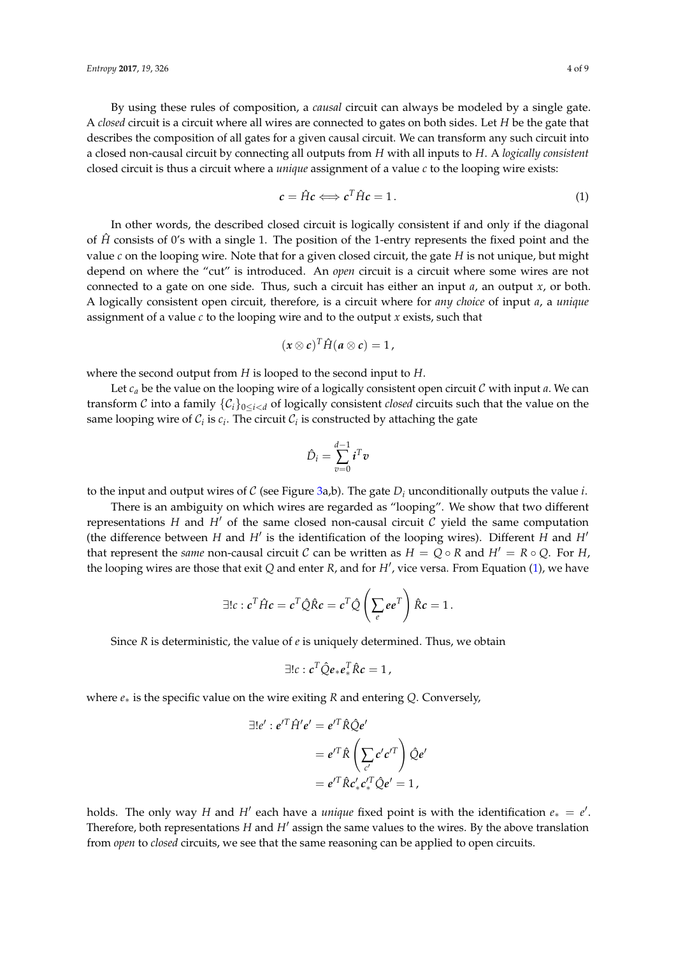By using these rules of composition, a *causal* circuit can always be modeled by a single gate. A *closed* circuit is a circuit where all wires are connected to gates on both sides. Let *H* be the gate that describes the composition of all gates for a given causal circuit. We can transform any such circuit into a closed non-causal circuit by connecting all outputs from *H* with all inputs to *H*. A *logically consistent* closed circuit is thus a circuit where a *unique* assignment of a value *c* to the looping wire exists:

<span id="page-3-0"></span>
$$
c = \hat{H}c \Longleftrightarrow c^T \hat{H}c = 1. \tag{1}
$$

In other words, the described closed circuit is logically consistent if and only if the diagonal of  $\hat{H}$  consists of 0's with a single 1. The position of the 1-entry represents the fixed point and the value *c* on the looping wire. Note that for a given closed circuit, the gate *H* is not unique, but might depend on where the "cut" is introduced. An *open* circuit is a circuit where some wires are not connected to a gate on one side. Thus, such a circuit has either an input *a*, an output *x*, or both. A logically consistent open circuit, therefore, is a circuit where for *any choice* of input *a*, a *unique* assignment of a value *c* to the looping wire and to the output *x* exists, such that

$$
(x\otimes c)^T\hat{H}(a\otimes c)=1,
$$

where the second output from *H* is looped to the second input to *H*.

Let *c<sup>a</sup>* be the value on the looping wire of a logically consistent open circuit C with input *a*. We can transform C into a family  $\{C_i\}_{0 \leq i \leq d}$  of logically consistent *closed* circuits such that the value on the same looping wire of  $C_i$  is  $c_i$ . The circuit  $C_i$  is constructed by attaching the gate

$$
\hat{D}_i = \sum_{v=0}^{d-1} i^T v
$$

to the input and output wires of C (see Figure [3a](#page-4-0),b). The gate  $D_i$  unconditionally outputs the value *i*.

There is an ambiguity on which wires are regarded as "looping". We show that two different representations  $H$  and  $H'$  of the same closed non-causal circuit  $C$  yield the same computation (the difference between  $H$  and  $H'$  is the identification of the looping wires). Different  $H$  and  $H'$ that represent the *same* non-causal circuit C can be written as  $H = Q \circ R$  and  $H' = R \circ Q$ . For *H*, the looping wires are those that exit *Q* and enter *R*, and for *H'*, vice versa. From Equation [\(1\)](#page-3-0), we have

$$
\exists !c : c^T \hat{H}c = c^T \hat{Q} \hat{R}c = c^T \hat{Q} \left(\sum_e e^T\right) \hat{R}c = 1.
$$

Since *R* is deterministic, the value of *e* is uniquely determined. Thus, we obtain

$$
\exists!c: c^T\hat{Q}e_*e_*^T\hat{R}c=1,
$$

where *e*∗ is the specific value on the wire exiting *R* and entering *Q*. Conversely,

$$
\exists!e': e'^T \hat{H}'e' = e'^T \hat{R} \hat{Q}e'
$$

$$
= e'^T \hat{R} \left( \sum_{c'} c' c'^T \right) \hat{Q}e'
$$

$$
= e'^T \hat{R} c'_* c'^T_* \hat{Q}e' = 1,
$$

holds. The only way *H* and *H'* each have a *unique* fixed point is with the identification  $e_* = e'$ . Therefore, both representations  $H$  and  $H'$  assign the same values to the wires. By the above translation from *open* to *closed* circuits, we see that the same reasoning can be applied to open circuits.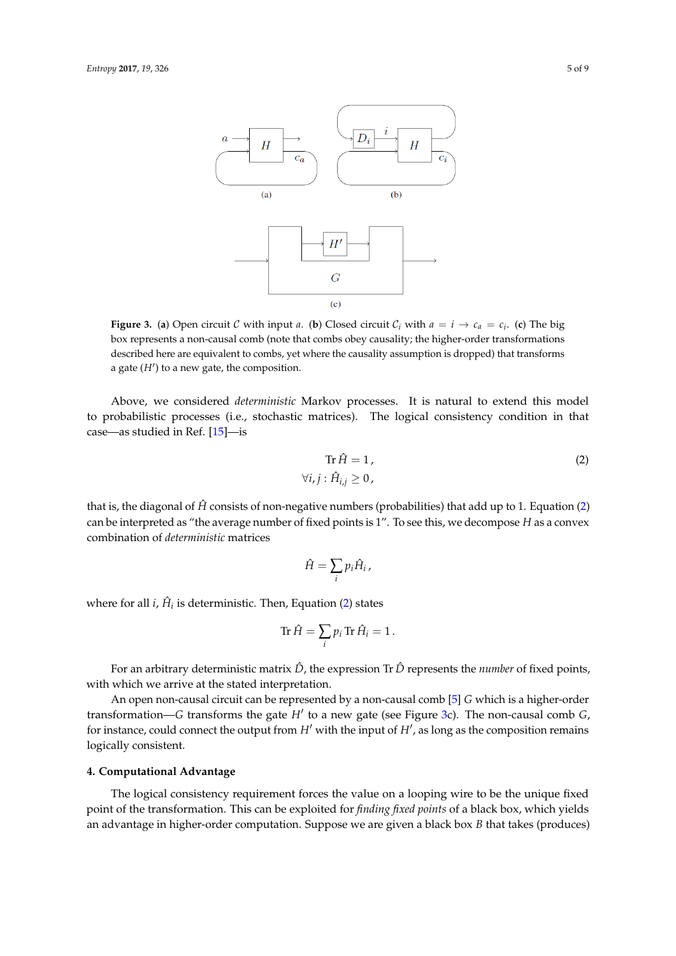<span id="page-4-0"></span>

**Figure 3.** (a) Open circuit C with input *a*. (b) Closed circuit  $C_i$  with  $a = i \rightarrow c_a = c_i$ . (c) The big box represents a non-causal comb (note that combs obey causality; the higher-order transformations described here are equivalent to combs, yet where the causality assumption is dropped) that transforms a gate  $(H')$  to a new gate, the composition.

Above, we considered *deterministic* Markov processes. It is natural to extend this model to probabilistic processes (i.e., stochastic matrices). The logical consistency condition in that case—as studied in Ref. [\[15\]](#page-8-8)—is

<span id="page-4-1"></span>
$$
\operatorname{Tr} \hat{H} = 1, \tag{2}
$$

$$
\forall i, j : \hat{H}_{i,j} \ge 0,
$$

that is, the diagonal of  $\hat{H}$  consists of non-negative numbers (probabilities) that add up to 1. Equation [\(2\)](#page-4-1) can be interpreted as "the average number of fixed points is 1". To see this, we decompose *H* as a convex combination of *deterministic* matrices

$$
\hat{H}=\sum_i p_i \hat{H}_i\,,
$$

where for all  $i$ ,  $\hat{H}_i$  is deterministic. Then, Equation [\(2\)](#page-4-1) states

$$
\text{Tr}\,\hat{H}=\sum_i p_i\,\text{Tr}\,\hat{H}_i=1\,.
$$

For an arbitrary deterministic matrix  $\hat{D}$ , the expression Tr  $\hat{D}$  represents the *number* of fixed points, with which we arrive at the stated interpretation.

An open non-causal circuit can be represented by a non-causal comb [\[5\]](#page-8-2) *G* which is a higher-order transformation—*G* transforms the gate *H'* to a new gate (see Figure [3c](#page-4-0)). The non-causal comb *G*, for instance, could connect the output from  $H'$  with the input of  $H'$ , as long as the composition remains logically consistent.

#### **4. Computational Advantage**

The logical consistency requirement forces the value on a looping wire to be the unique fixed point of the transformation. This can be exploited for *finding fixed points* of a black box, which yields an advantage in higher-order computation. Suppose we are given a black box *B* that takes (produces)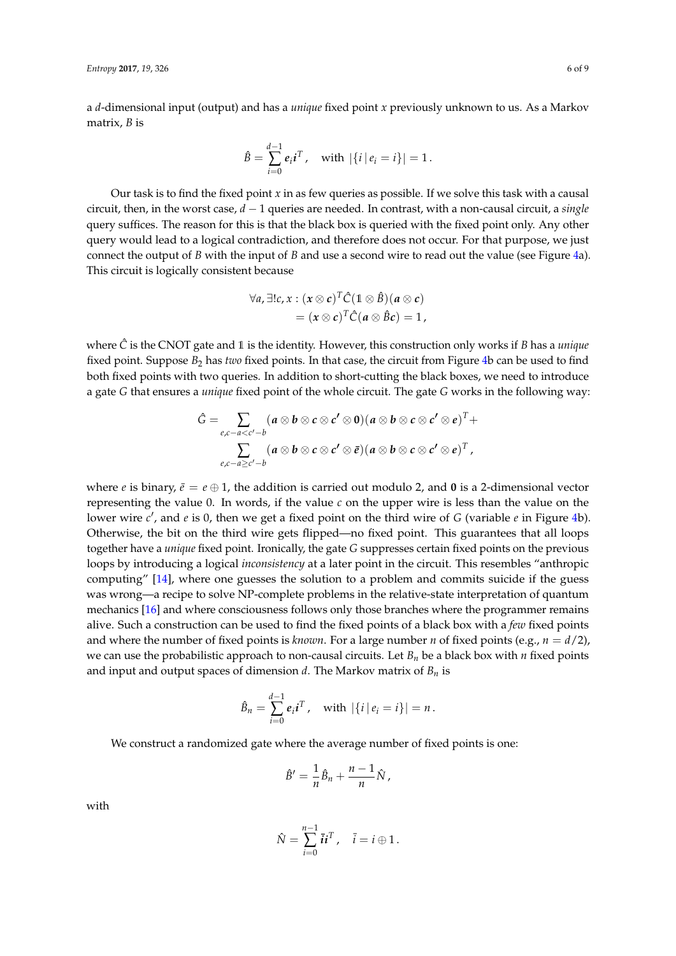a *d*-dimensional input (output) and has a *unique* fixed point *x* previously unknown to us. As a Markov matrix, *B* is

$$
\hat{B} = \sum_{i=0}^{d-1} e_i i^T, \text{ with } |\{i | e_i = i\}| = 1.
$$

Our task is to find the fixed point *x* in as few queries as possible. If we solve this task with a causal circuit, then, in the worst case, *d* − 1 queries are needed. In contrast, with a non-causal circuit, a *single* query suffices. The reason for this is that the black box is queried with the fixed point only. Any other query would lead to a logical contradiction, and therefore does not occur. For that purpose, we just connect the output of *B* with the input of *B* and use a second wire to read out the value (see Figure [4a](#page-6-0)). This circuit is logically consistent because

$$
\forall a, \exists!c, x: (x \otimes c)^T \hat{C} (1 \otimes \hat{B}) (a \otimes c)
$$
  
=  $(x \otimes c)^T \hat{C} (a \otimes \hat{B} c) = 1$ ,

where  $\hat{C}$  is the CNOT gate and 1 is the identity. However, this construction only works if *B* has a *unique* fixed point. Suppose *B*<sup>2</sup> has *two* fixed points. In that case, the circuit from Figure [4b](#page-6-0) can be used to find both fixed points with two queries. In addition to short-cutting the black boxes, we need to introduce a gate *G* that ensures a *unique* fixed point of the whole circuit. The gate *G* works in the following way:

$$
\hat{G} = \sum_{e,c-a
$$

where *e* is binary,  $\bar{e} = e \oplus 1$ , the addition is carried out modulo 2, and 0 is a 2-dimensional vector representing the value 0. In words, if the value *c* on the upper wire is less than the value on the lower wire *c'*, and *e* is 0, then we get a fixed point on the third wire of *G* (variable *e* in Figure [4b](#page-6-0)). Otherwise, the bit on the third wire gets flipped—no fixed point. This guarantees that all loops together have a *unique* fixed point. Ironically, the gate *G* suppresses certain fixed points on the previous loops by introducing a logical *inconsistency* at a later point in the circuit. This resembles "anthropic computing" [\[14\]](#page-8-7), where one guesses the solution to a problem and commits suicide if the guess was wrong—a recipe to solve NP-complete problems in the relative-state interpretation of quantum mechanics [\[16\]](#page-8-9) and where consciousness follows only those branches where the programmer remains alive. Such a construction can be used to find the fixed points of a black box with a *few* fixed points and where the number of fixed points is *known*. For a large number *n* of fixed points (e.g.,  $n = d/2$ ), we can use the probabilistic approach to non-causal circuits. Let  $B<sub>n</sub>$  be a black box with *n* fixed points and input and output spaces of dimension *d*. The Markov matrix of *B<sup>n</sup>* is

$$
\hat{B}_n = \sum_{i=0}^{d-1} e_i i^T, \text{ with } |\{i | e_i = i\}| = n.
$$

We construct a randomized gate where the average number of fixed points is one:

$$
\hat{B}' = \frac{1}{n}\hat{B}_n + \frac{n-1}{n}\hat{N},
$$

with

$$
\hat{N} = \sum_{i=0}^{n-1} \overline{i}i^T, \quad \overline{i} = i \oplus 1.
$$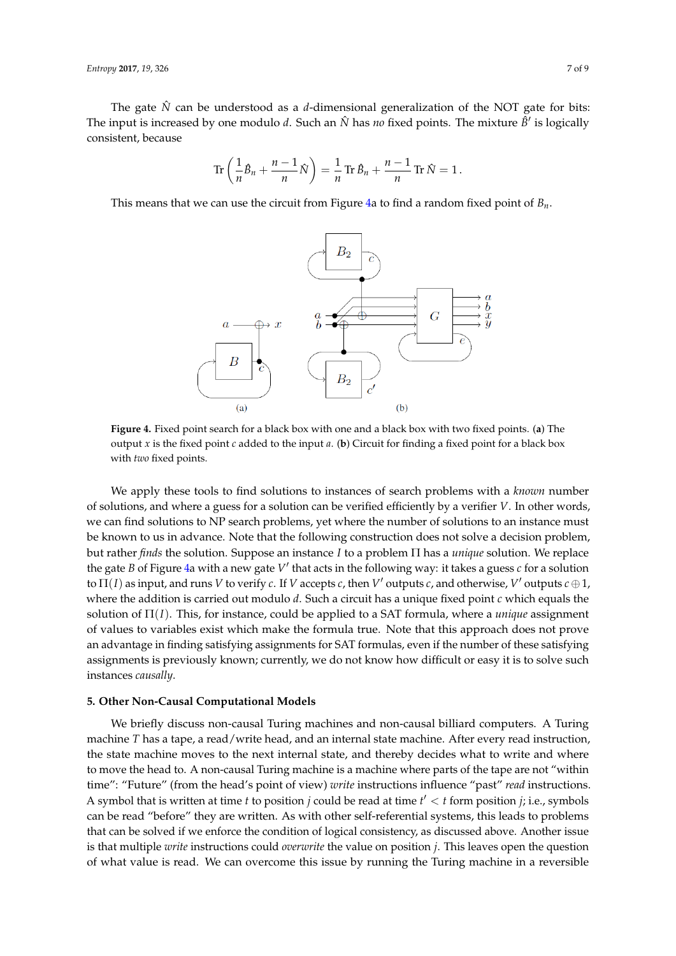The gate  $\hat{N}$  can be understood as a *d*-dimensional generalization of the NOT gate for bits: The input is increased by one modulo *d*. Such an  $\hat{N}$  has *no* fixed points. The mixture  $\hat{B}'$  is logically consistent, because

$$
\operatorname{Tr}\left(\frac{1}{n}\hat{B}_n + \frac{n-1}{n}\hat{N}\right) = \frac{1}{n}\operatorname{Tr}\hat{B}_n + \frac{n-1}{n}\operatorname{Tr}\hat{N} = 1.
$$

<span id="page-6-0"></span>This means that we can use the circuit from Figure [4a](#page-6-0) to find a random fixed point of *Bn*.



**Figure 4.** Fixed point search for a black box with one and a black box with two fixed points. (**a**) The output *x* is the fixed point *c* added to the input *a*. (**b**) Circuit for finding a fixed point for a black box with *two* fixed points.

We apply these tools to find solutions to instances of search problems with a *known* number of solutions, and where a guess for a solution can be verified efficiently by a verifier *V*. In other words, we can find solutions to NP search problems, yet where the number of solutions to an instance must be known to us in advance. Note that the following construction does not solve a decision problem, but rather *finds* the solution. Suppose an instance *I* to a problem Π has a *unique* solution. We replace the gate *B* of Figure [4a](#page-6-0) with a new gate V' that acts in the following way: it takes a guess *c* for a solution to  $\Pi(I)$  as input, and runs V to verify  $c$ . If V accepts  $c$ , then  $V'$  outputs  $c$ , and otherwise,  $V'$  outputs  $c \oplus 1$ , where the addition is carried out modulo *d*. Such a circuit has a unique fixed point *c* which equals the solution of Π(*I*). This, for instance, could be applied to a SAT formula, where a *unique* assignment of values to variables exist which make the formula true. Note that this approach does not prove an advantage in finding satisfying assignments for SAT formulas, even if the number of these satisfying assignments is previously known; currently, we do not know how difficult or easy it is to solve such instances *causally*.

## **5. Other Non-Causal Computational Models**

We briefly discuss non-causal Turing machines and non-causal billiard computers. A Turing machine *T* has a tape, a read/write head, and an internal state machine. After every read instruction, the state machine moves to the next internal state, and thereby decides what to write and where to move the head to. A non-causal Turing machine is a machine where parts of the tape are not "within time": "Future" (from the head's point of view) *write* instructions influence "past" *read* instructions. A symbol that is written at time *t* to position *j* could be read at time  $t' < t$  form position *j*; i.e., symbols can be read "before" they are written. As with other self-referential systems, this leads to problems that can be solved if we enforce the condition of logical consistency, as discussed above. Another issue is that multiple *write* instructions could *overwrite* the value on position *j*. This leaves open the question of what value is read. We can overcome this issue by running the Turing machine in a reversible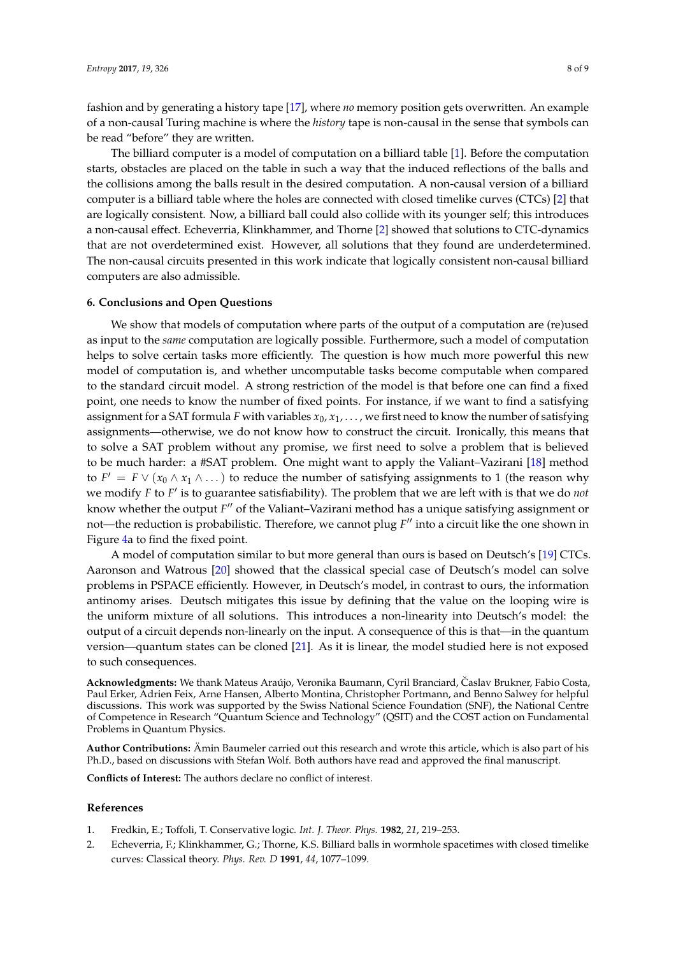fashion and by generating a history tape [\[17\]](#page-8-10), where *no* memory position gets overwritten. An example of a non-causal Turing machine is where the *history* tape is non-causal in the sense that symbols can be read "before" they are written.

The billiard computer is a model of computation on a billiard table [\[1\]](#page-7-0). Before the computation starts, obstacles are placed on the table in such a way that the induced reflections of the balls and the collisions among the balls result in the desired computation. A non-causal version of a billiard computer is a billiard table where the holes are connected with closed timelike curves (CTCs) [\[2\]](#page-7-1) that are logically consistent. Now, a billiard ball could also collide with its younger self; this introduces a non-causal effect. Echeverria, Klinkhammer, and Thorne [\[2\]](#page-7-1) showed that solutions to CTC-dynamics that are not overdetermined exist. However, all solutions that they found are underdetermined. The non-causal circuits presented in this work indicate that logically consistent non-causal billiard computers are also admissible.

#### **6. Conclusions and Open Questions**

We show that models of computation where parts of the output of a computation are (re)used as input to the *same* computation are logically possible. Furthermore, such a model of computation helps to solve certain tasks more efficiently. The question is how much more powerful this new model of computation is, and whether uncomputable tasks become computable when compared to the standard circuit model. A strong restriction of the model is that before one can find a fixed point, one needs to know the number of fixed points. For instance, if we want to find a satisfying assignment for a SAT formula *F* with variables  $x_0, x_1, \ldots$ , we first need to know the number of satisfying assignments—otherwise, we do not know how to construct the circuit. Ironically, this means that to solve a SAT problem without any promise, we first need to solve a problem that is believed to be much harder: a #SAT problem. One might want to apply the Valiant–Vazirani [\[18\]](#page-8-11) method to  $F' = F \vee (x_0 \wedge x_1 \wedge ...)$  to reduce the number of satisfying assignments to 1 (the reason why we modify *F* to *F'* is to guarantee satisfiability). The problem that we are left with is that we do *not* know whether the output F<sup>"</sup> of the Valiant–Vazirani method has a unique satisfying assignment or not—the reduction is probabilistic. Therefore, we cannot plug  $F''$  into a circuit like the one shown in Figure [4a](#page-6-0) to find the fixed point.

A model of computation similar to but more general than ours is based on Deutsch's [\[19\]](#page-8-12) CTCs. Aaronson and Watrous [\[20\]](#page-8-13) showed that the classical special case of Deutsch's model can solve problems in PSPACE efficiently. However, in Deutsch's model, in contrast to ours, the information antinomy arises. Deutsch mitigates this issue by defining that the value on the looping wire is the uniform mixture of all solutions. This introduces a non-linearity into Deutsch's model: the output of a circuit depends non-linearly on the input. A consequence of this is that—in the quantum version—quantum states can be cloned [\[21\]](#page-8-14). As it is linear, the model studied here is not exposed to such consequences.

**Acknowledgments:** We thank Mateus Araújo, Veronika Baumann, Cyril Branciard, Caslav Brukner, Fabio Costa, ˇ Paul Erker, Adrien Feix, Arne Hansen, Alberto Montina, Christopher Portmann, and Benno Salwey for helpful discussions. This work was supported by the Swiss National Science Foundation (SNF), the National Centre of Competence in Research "Quantum Science and Technology" (QSIT) and the COST action on Fundamental Problems in Quantum Physics.

**Author Contributions:** Ämin Baumeler carried out this research and wrote this article, which is also part of his Ph.D., based on discussions with Stefan Wolf. Both authors have read and approved the final manuscript.

**Conflicts of Interest:** The authors declare no conflict of interest.

#### **References**

- <span id="page-7-0"></span>1. Fredkin, E.; Toffoli, T. Conservative logic. *Int. J. Theor. Phys.* **1982**, *21*, 219–253.
- <span id="page-7-1"></span>2. Echeverria, F.; Klinkhammer, G.; Thorne, K.S. Billiard balls in wormhole spacetimes with closed timelike curves: Classical theory. *Phys. Rev. D* **1991**, *44*, 1077–1099.